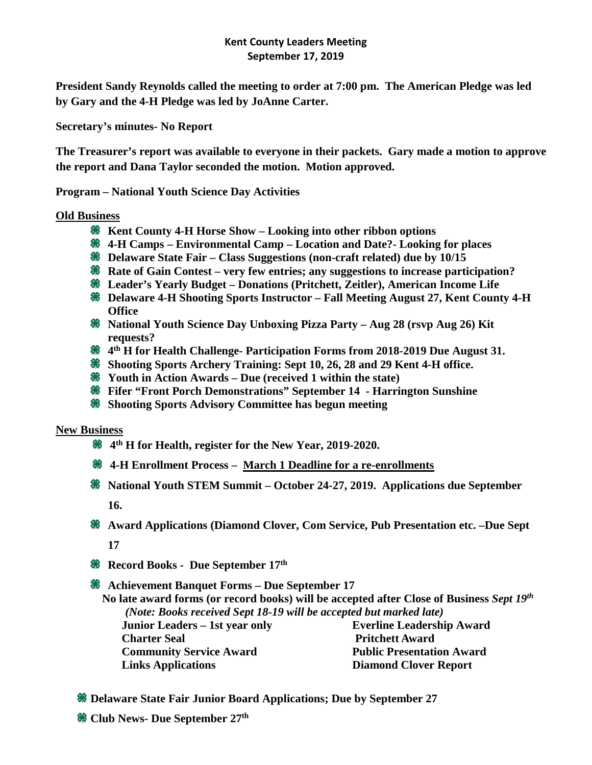## **Kent County Leaders Meeting September 17, 2019**

**President Sandy Reynolds called the meeting to order at 7:00 pm. The American Pledge was led by Gary and the 4-H Pledge was led by JoAnne Carter.** 

**Secretary's minutes- No Report** 

**The Treasurer's report was available to everyone in their packets. Gary made a motion to approve the report and Dana Taylor seconded the motion. Motion approved.** 

**Program – National Youth Science Day Activities**

## **Old Business**

- **Kent County 4-H Horse Show – Looking into other ribbon options**
- **4-H Camps – Environmental Camp – Location and Date?- Looking for places**
- **Delaware State Fair – Class Suggestions (non-craft related) due by 10/15**
- **Rate of Gain Contest very few entries; any suggestions to increase participation?**
- **Leader's Yearly Budget – Donations (Pritchett, Zeitler), American Income Life**
- **Delaware 4-H Shooting Sports Instructor – Fall Meeting August 27, Kent County 4-H Office**
- **National Youth Science Day Unboxing Pizza Party – Aug 28 (rsvp Aug 26) Kit requests?**
- **4th H for Health Challenge- Participation Forms from 2018-2019 Due August 31.**
- **Shooting Sports Archery Training: Sept 10, 26, 28 and 29 Kent 4-H office.**
- **Youth in Action Awards – Due (received 1 within the state)**
- **Fifer "Front Porch Demonstrations" September 14 - Harrington Sunshine**
- **Shooting Sports Advisory Committee has begun meeting**

## **New Business**

- **4th H for Health, register for the New Year, 2019-2020.**
- **4-H Enrollment Process – March 1 Deadline for a re-enrollments**
- **National Youth STEM Summit – October 24-27, 2019. Applications due September 16.**
- **Award Applications (Diamond Clover, Com Service, Pub Presentation etc. –Due Sept 17**
- **Record Books Due September 17th**

**Achievement Banquet Forms – Due September 17**

 **No late award forms (or record books) will be accepted after Close of Business** *Sept 19th (Note: Books received Sept 18-19 will be accepted but marked late)* **[Junior Leaders –](http://s3.amazonaws.com/udextension/wp-content/uploads/2012/06/Form-Jr-Leader-Pins.pdf) 1st year only [Everline Leadership Award](http://s3.amazonaws.com/udextension/wp-content/uploads/2012/06/Form-Michael-Everline-Memorial-Leadership-Award.pdf)** 

**[Charter Seal](http://s3.amazonaws.com/udextension/wp-content/uploads/2012/06/CHARTERSEALREPORT.pdf) [Community Service Award](http://s3.amazonaws.com/udextension/wp-content/uploads/2012/06/CommunityServiceAward.pdf) [Links Applications](http://s3.amazonaws.com/udextension/wp-content/uploads/2012/06/Form-Links-Application.pdf)  [P](http://s3.amazonaws.com/udextension/wp-content/uploads/2012/06/Form-Michael-Everline-Memorial-Leadership-Award.pdf)ritchett Award [Public Presentation Award](http://s3.amazonaws.com/udextension/wp-content/uploads/2012/06/REV-Public-Presentation-Award.pdf) Diamond Clover Report**

- **Delaware State Fair Junior Board Applications; Due by September 27**
- **Club News- Due September 27th**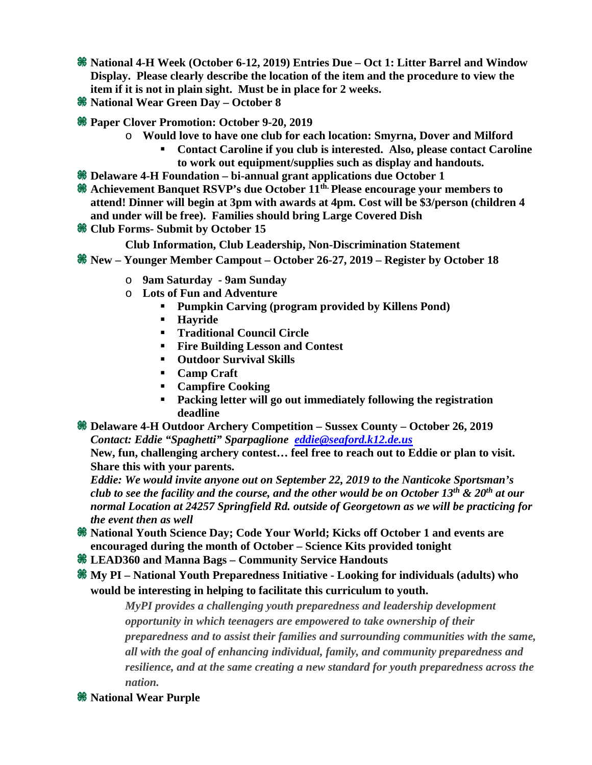- **National 4-H Week (October 6-12, 2019) Entries Due – Oct 1: Litter Barrel and Window Display. Please clearly describe the location of the item and the procedure to view the item if it is not in plain sight. Must be in place for 2 weeks.**
- **National Wear Green Day – October 8**
- **Paper Clover Promotion: October 9-20, 2019**
	- o **Would love to have one club for each location: Smyrna, Dover and Milford**
		- **Contact Caroline if you club is interested. Also, please contact Caroline to work out equipment/supplies such as display and handouts.**
- **Delaware 4-H Foundation – bi-annual grant applications due October 1**
- **Achievement Banquet RSVP's due October 11th. Please encourage your members to attend! Dinner will begin at 3pm with awards at 4pm. Cost will be \$3/person (children 4 and under will be free). Families should bring Large Covered Dish**
- **Club Forms- Submit by October 15**
	- **Club Information, Club Leadership, Non-Discrimination Statement**
- **New – Younger Member Campout – October 26-27, 2019 – Register by October 18**
	- o **9am Saturday - 9am Sunday**
	- o **Lots of Fun and Adventure**
		- **Pumpkin Carving (program provided by Killens Pond)**
		- **Hayride**
		- **Traditional Council Circle**
		- **Fire Building Lesson and Contest**
		- **Outdoor Survival Skills**
		- **Camp Craft**
		- **Campfire Cooking**
		- **Packing letter will go out immediately following the registration deadline**
- **Delaware 4-H Outdoor Archery Competition – Sussex County – October 26, 2019** *Contact: Eddie "Spaghetti" Sparpaglione [eddie@seaford.k12.de.us](mailto:eddie@seaford.k12.de.us)*

**New, fun, challenging archery contest… feel free to reach out to Eddie or plan to visit. Share this with your parents.**

*Eddie: We would invite anyone out on September 22, 2019 to the Nanticoke Sportsman's club to see the facility and the course, and the other would be on October 13th & 20th at our normal Location at 24257 Springfield Rd. outside of Georgetown as we will be practicing for the event then as well*

- **National Youth Science Day; Code Your World; Kicks off October 1 and events are encouraged during the month of October – Science Kits provided tonight**
- **LEAD360 and Manna Bags – Community Service Handouts**
- **My PI – National Youth Preparedness Initiative - Looking for individuals (adults) who would be interesting in helping to facilitate this curriculum to youth.**

*MyPI provides a challenging youth preparedness and leadership development opportunity in which teenagers are empowered to take ownership of their preparedness and to assist their families and surrounding communities with the same, all with the goal of enhancing individual, family, and community preparedness and resilience, and at the same creating a new standard for youth preparedness across the nation.*

*<u><b>W* National Wear Purple</u>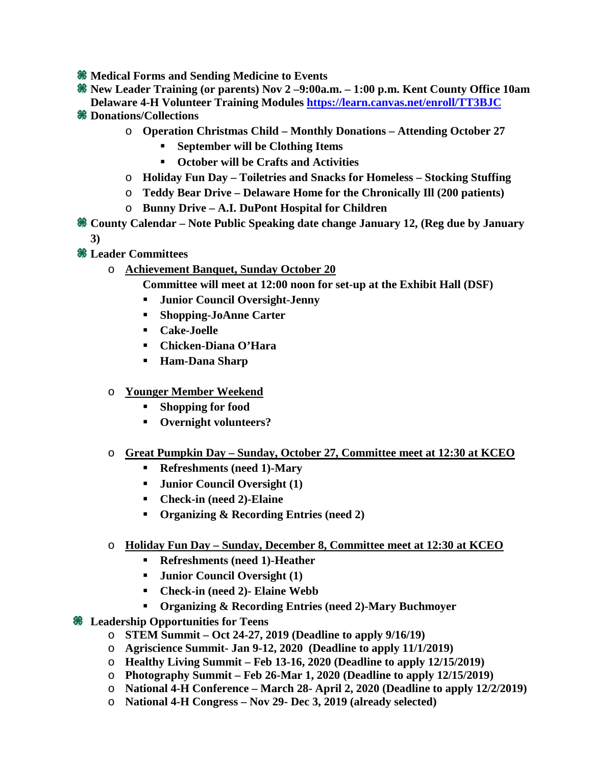- **<sup><b>** $\frac{1}{20}$  Medical Forms and Sending Medicine to Events</sup>
- **New Leader Training (or parents) Nov 2 –9:00a.m. – 1:00 p.m. Kent County Office 10am Delaware 4-H Volunteer Training Modules<https://learn.canvas.net/enroll/TT3BJC>**
- **Donations/Collections**
	- o **Operation Christmas Child – Monthly Donations – Attending October 27**
		- **September will be Clothing Items**
		- **October will be Crafts and Activities**
	- o **Holiday Fun Day – Toiletries and Snacks for Homeless – Stocking Stuffing**
	- o **Teddy Bear Drive – Delaware Home for the Chronically Ill (200 patients)**
	- o **Bunny Drive – A.I. DuPont Hospital for Children**
- **County Calendar – Note Public Speaking date change January 12, (Reg due by January 3)**
- **Leader Committees**
	- o **Achievement Banquet, Sunday October 20**
		- **Committee will meet at 12:00 noon for set-up at the Exhibit Hall (DSF)**
		- **Junior Council Oversight-Jenny**
		- **Shopping-JoAnne Carter**
		- **Cake-Joelle**
		- **Chicken-Diana O'Hara**
		- **Ham-Dana Sharp**
	- o **Younger Member Weekend**
		- **Shopping for food**
		- **Overnight volunteers?**
	- o **Great Pumpkin Day – Sunday, October 27, Committee meet at 12:30 at KCEO**
		- **Refreshments (need 1)-Mary**
		- **Junior Council Oversight (1)**
		- **Check-in (need 2)-Elaine**
		- **Organizing & Recording Entries (need 2)**
	- o **Holiday Fun Day – Sunday, December 8, Committee meet at 12:30 at KCEO**
		- **Refreshments (need 1)-Heather**
		- **Junior Council Oversight (1)**
		- **Check-in (need 2)- Elaine Webb**
		- **Organizing & Recording Entries (need 2)-Mary Buchmoyer**
- **Leadership Opportunities for Teens** 
	- o **STEM Summit – Oct 24-27, 2019 (Deadline to apply 9/16/19)**
	- o **Agriscience Summit- Jan 9-12, 2020 (Deadline to apply 11/1/2019)**
	- o **Healthy Living Summit – Feb 13-16, 2020 (Deadline to apply 12/15/2019)**
	- o **Photography Summit – Feb 26-Mar 1, 2020 (Deadline to apply 12/15/2019)**
	- o **National 4-H Conference – March 28- April 2, 2020 (Deadline to apply 12/2/2019)**
	- o **National 4-H Congress – Nov 29- Dec 3, 2019 (already selected)**